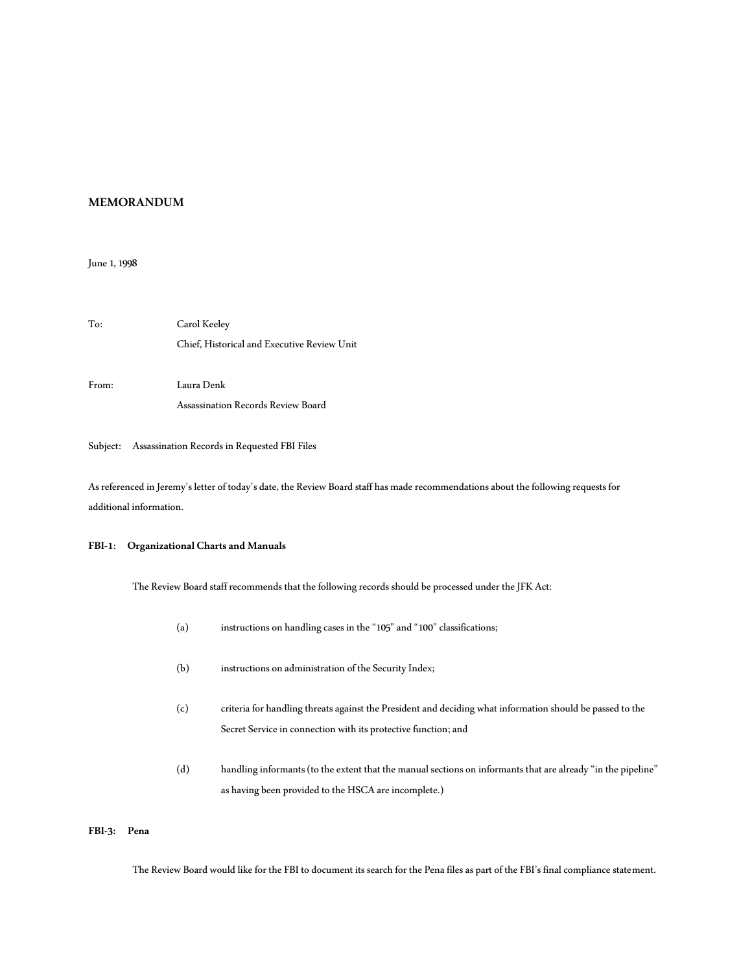## **MEMORANDUM**

June 1, 1998

| To:   | Carol Keeley                                |  |  |
|-------|---------------------------------------------|--|--|
|       | Chief, Historical and Executive Review Unit |  |  |
| From: | Laura Denk                                  |  |  |
|       | Assassination Records Review Board          |  |  |

### Subject: Assassination Records in Requested FBI Files

As referenced in Jeremy's letter of today's date, the Review Board staff has made recommendations about the following requests for additional information.

### **FBI-1**: **Organizational Charts and Manuals**

The Review Board staff recommends that the following records should be processed under the JFK Act:

- (a) instructions on handling cases in the "105" and "100" classifications;
- (b) instructions on administration of the Security Index;
- (c) criteria for handling threats against the President and deciding what information should be passed to the Secret Service in connection with its protective function; and
- (d) handling informants (to the extent that the manual sections on informants that are already "in the pipeline" as having been provided to the HSCA are incomplete.)

## **FBI-3: Pena**

The Review Board would like for the FBI to document its search for the Pena files as part of the FBI's final compliance statement.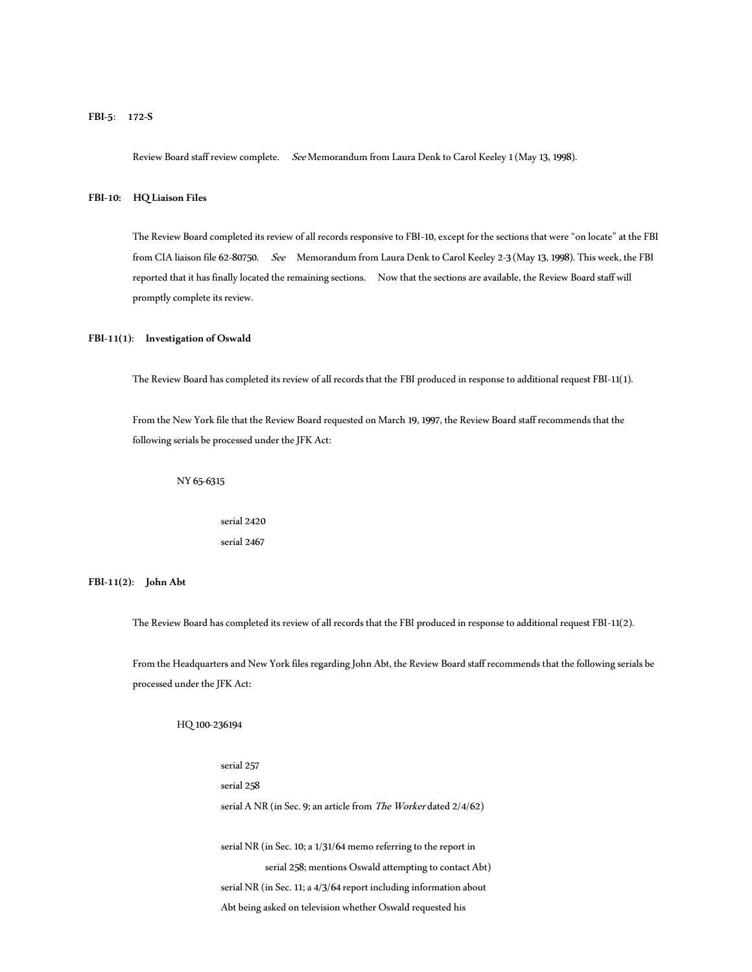**FBI-5**: **172-S**

Review Board staff review complete. SeeMemorandum from Laura Denk to Carol Keeley 1 (May 13, 1998).

**FBI-10: HQ Liaison Files**

The Review Board completed its review of all records responsive to FBI-10, except for the sections that were "on locate" at the FBI from CIA liaison file 62-80750. See Memorandum from Laura Denk to Carol Keeley 2-3 (May 13, 1998). This week, the FBI reported that it has finally located the remaining sections. Now that the sections are available, the Review Board staff will promptly complete its review.

### **FBI-11(1)**: **Investigation of Oswald**

The Review Board has completed its review of all records that the FBI produced in response to additional request FBI-11(1).

From the New York file that the Review Board requested on March 19, 1997, the Review Board staff recommends that the following serials be processed under the JFK Act:

NY 65-6315

serial 2420 serial 2467

**FBI-11(2)**: **John Abt**

The Review Board has completed its review of all records that the FBI produced in response to additional request FBI-11(2).

From the Headquarters and New York files regarding John Abt, the Review Board staff recommends that the following serials be processed under the JFK Act:

HQ 100-236194

serial 257 serial 258 serial A NR (in Sec. 9; an article from The Worker dated 2/4/62) serial NR (in Sec. 10; a 1/31/64 memo referring to the report in serial 258; mentions Oswald attempting to contact Abt) serial NR (in Sec. 11; a 4/3/64 report including information about Abt being asked on television whether Oswald requested his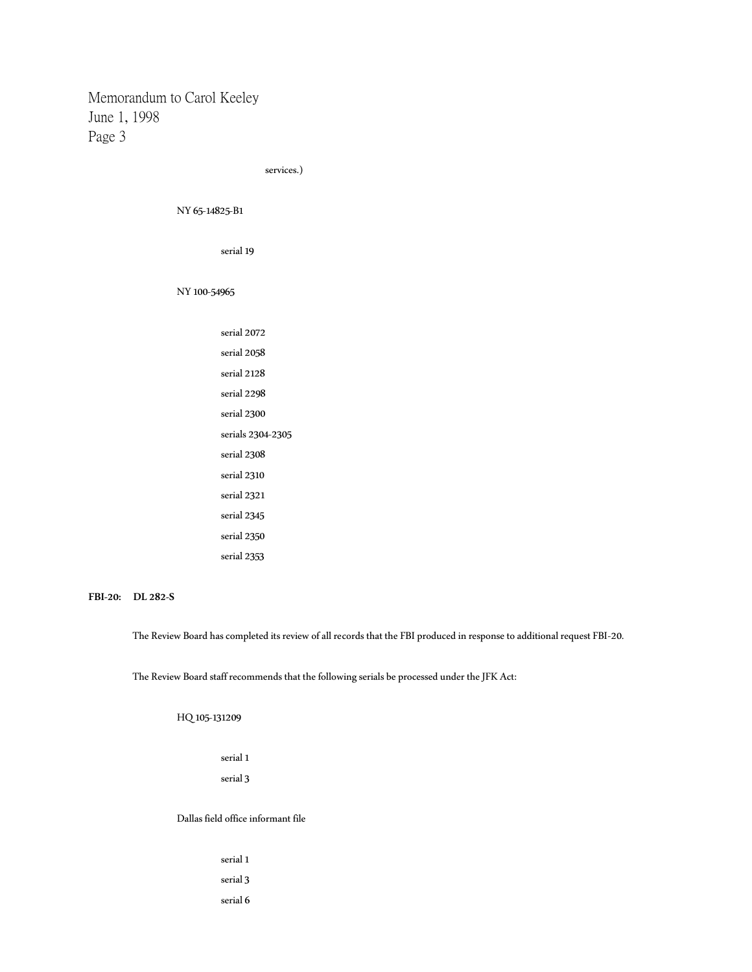services.)

NY 65-14825-B1

serial 19

NY 100-54965

| serial 2072       |
|-------------------|
| serial 2058       |
| serial 2128       |
| serial 2298       |
| serial 2300       |
| serials 2304-2305 |
| serial 2308       |
| serial 2310       |
| serial 2321       |
| serial 2345       |
| serial 2350       |
| serial 2353       |
|                   |

### **FBI-20: DL 282-S**

The Review Board has completed its review of all records that the FBI produced in response to additional request FBI-20.

The Review Board staff recommends that the following serials be processed under the JFK Act:

HQ 105-131209

serial 1 serial 3

Dallas field office informant file

serial 1 serial 3 serial 6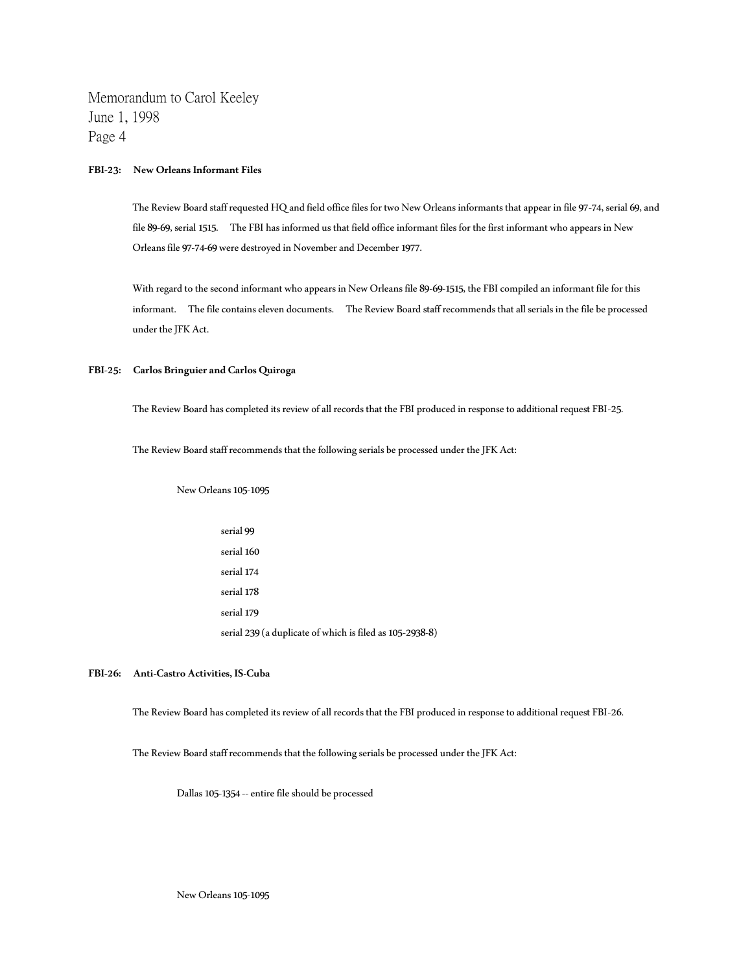### **FBI-23: New Orleans Informant Files**

The Review Board staff requested HQ and field office files for two New Orleans informants that appear in file 97-74, serial 69, and file 89-69, serial 1515. The FBI has informed us that field office informant files for the first informant who appears in New Orleans file 97-74-69 were destroyed in November and December 1977.

With regard to the second informant who appears in New Orleans file 89-69-1515, the FBI compiled an informant file for this informant. The file contains eleven documents. The Review Board staff recommends that all serials in the file be processed under the JFK Act.

### **FBI-25: Carlos Bringuier and Carlos Quiroga**

The Review Board has completed its review of all records that the FBI produced in response to additional request FBI-25.

The Review Board staff recommends that the following serials be processed under the JFK Act:

New Orleans 105-1095

serial 99 serial 160 serial 174 serial 178 serial 179 serial 239 (a duplicate of which is filed as 105-2938-8)

### **FBI-26: Anti-Castro Activities, IS-Cuba**

The Review Board has completed its review of all records that the FBI produced in response to additional request FBI-26.

The Review Board staff recommends that the following serials be processed under the JFK Act:

Dallas 105-1354 -- entire file should be processed

New Orleans 105-1095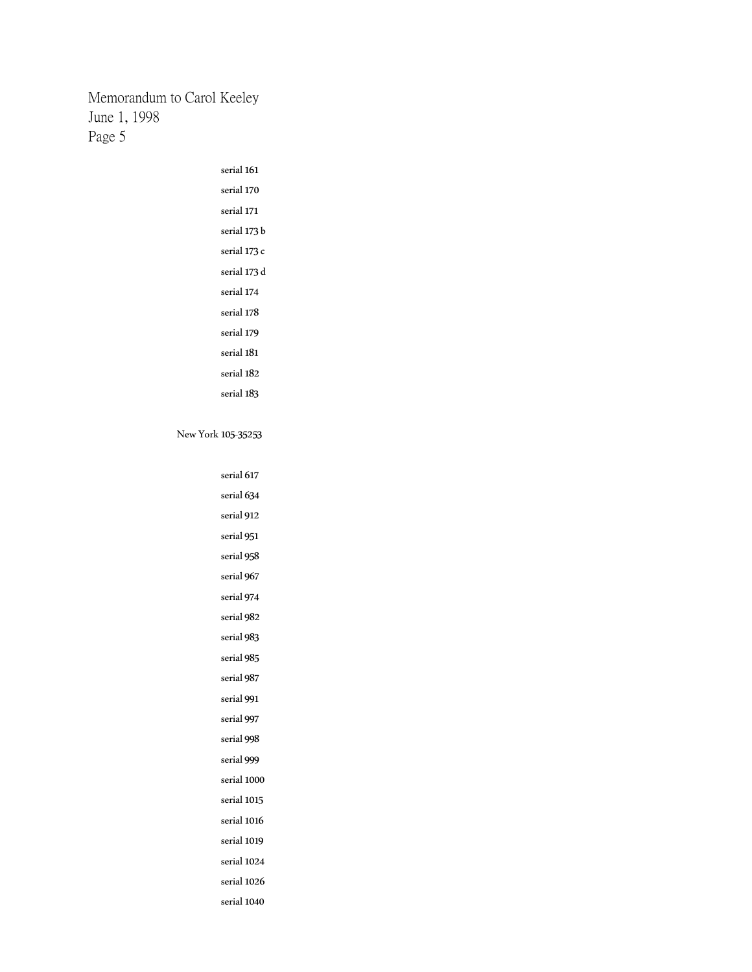| serial 161   |
|--------------|
| serial 170   |
| serial 171   |
| serial 173 b |
| serial 173 c |
| serial 173 d |
| serial 174   |
| serial 178   |
| serial 179   |
| serial 181   |
| serial 182   |
| serial 183   |

New York 105-35253

| serial 617  |
|-------------|
| serial 634  |
| serial 912  |
| serial 951  |
| serial 958  |
| serial 967  |
| serial 974  |
| serial 982  |
| serial 983  |
| serial 985  |
| serial 987  |
| serial 991  |
| serial 997  |
| serial 998  |
| serial 999  |
| serial 1000 |
| serial 1015 |
| serial 1016 |
| serial 1019 |
| serial 1024 |
| serial 1026 |
| serial 1040 |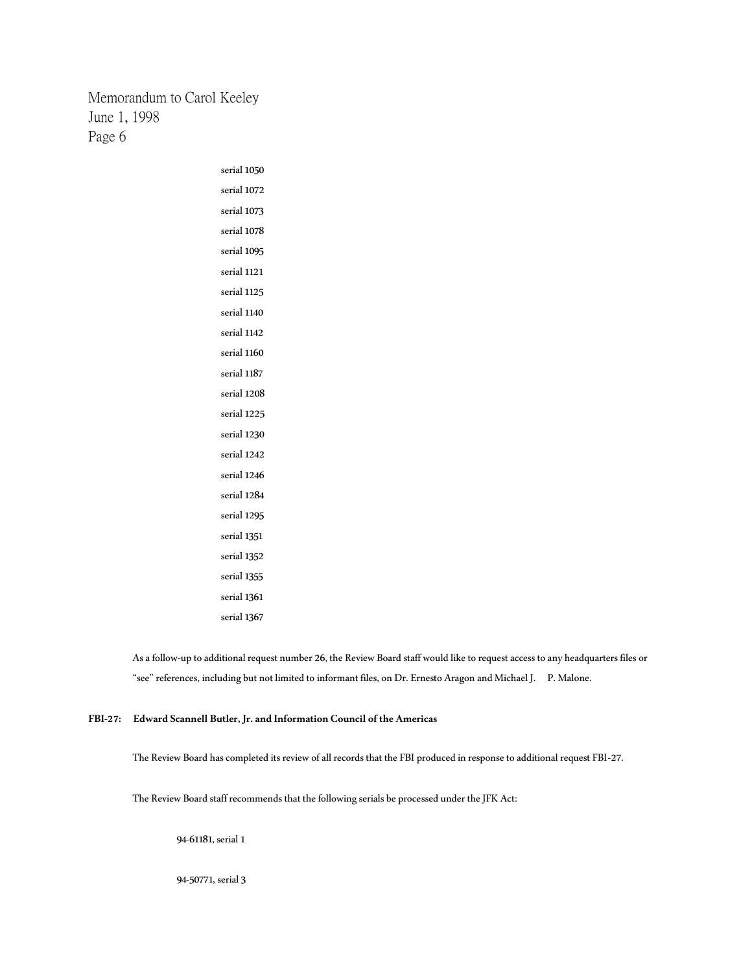> serial 1050 serial 1072 serial 1073 serial 1078 serial 1095 serial 1121 serial 1125 serial 1140 serial 1142 serial 1160 serial 1187 serial 1208 serial 1225 serial 1230 serial 1242 serial 1246 serial 1284 serial 1295 serial 1351 serial 1352 serial 1355 serial 1361 serial 1367

As a follow-up to additional request number 26, the Review Board staff would like to request access to any headquarters files or "see" references, including but not limited to informant files, on Dr. Ernesto Aragon and Michael J. P. Malone.

## **FBI-27: Edward Scannell Butler, Jr. and Information Council of the Americas**

The Review Board has completed its review of all records that the FBI produced in response to additional request FBI-27.

The Review Board staff recommends that the following serials be processed under the JFK Act:

94-61181, serial 1

94-50771, serial 3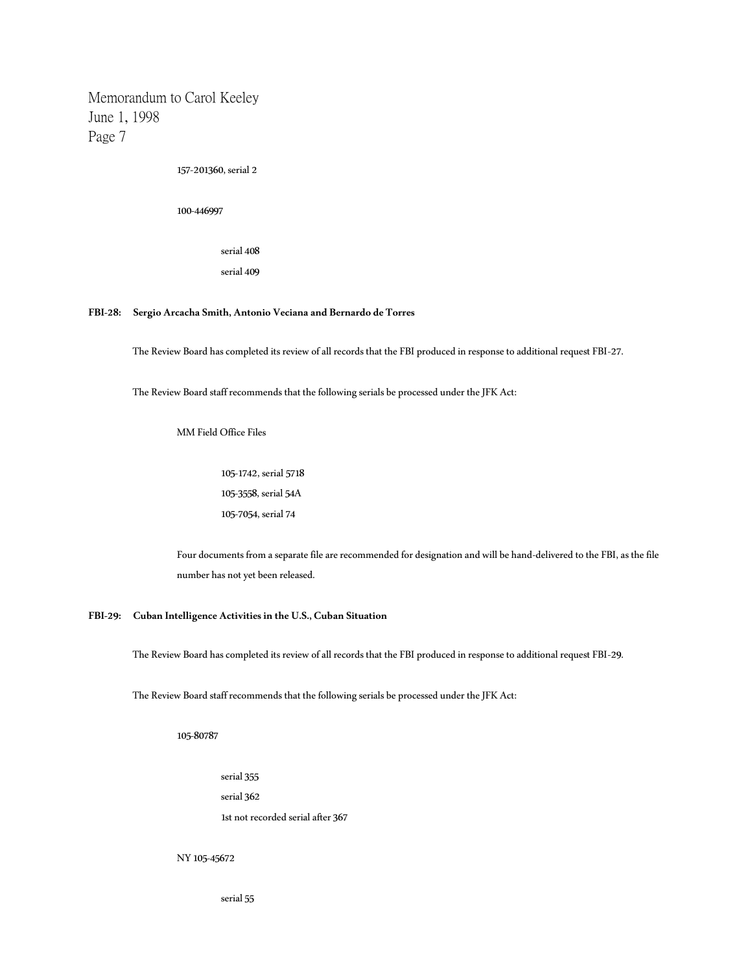157-201360, serial 2

100-446997

serial 408 serial 409

**FBI-28: Sergio Arcacha Smith, Antonio Veciana and Bernardo de Torres**

The Review Board has completed its review of all records that the FBI produced in response to additional request FBI-27.

The Review Board staff recommends that the following serials be processed under the JFK Act:

MM Field Office Files

105-1742, serial 5718 105-3558, serial 54A 105-7054, serial 74

Four documents from a separate file are recommended for designation and will be hand-delivered to the FBI, as the file number has not yet been released.

**FBI-29: Cuban Intelligence Activities in the U.S., Cuban Situation**

The Review Board has completed its review of all records that the FBI produced in response to additional request FBI-29.

The Review Board staff recommends that the following serials be processed under the JFK Act:

105-80787

serial 355

serial 362

1st not recorded serial after 367

NY 105-45672

serial 55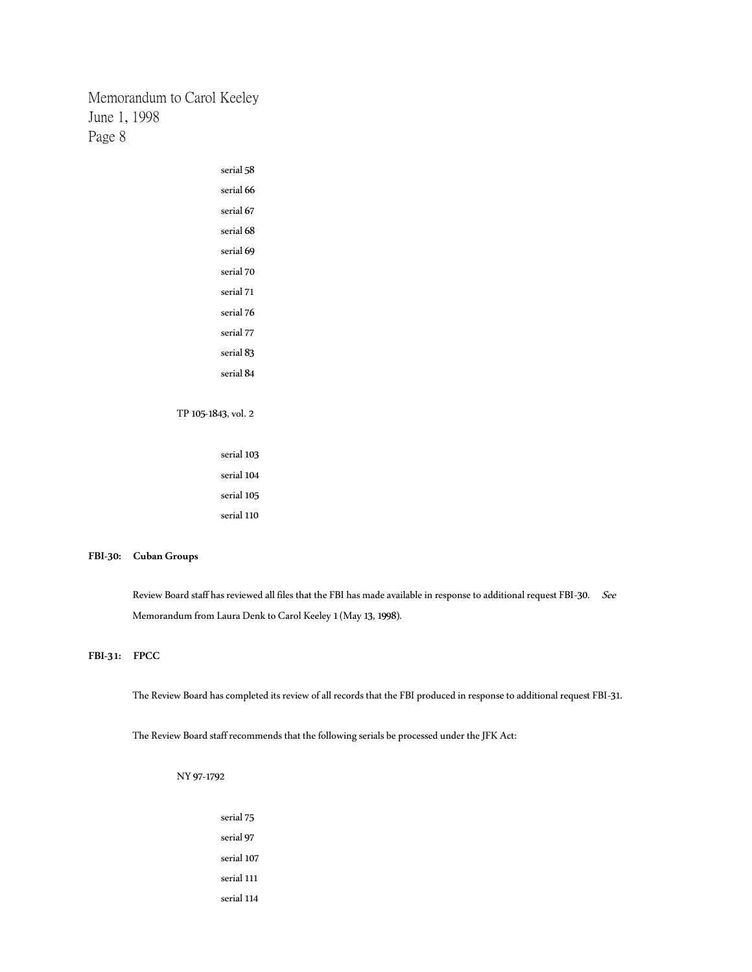| serial 58           |
|---------------------|
| serial 66           |
| serial 67           |
| serial 68           |
| serial 69           |
| serial 70           |
| serial 71           |
| serial 76           |
| serial 77           |
| serial 83           |
| serial 84           |
|                     |
| TP 105-1843, vol. 2 |
|                     |
| serial 103          |
| serial 104          |

serial 105 serial 110

### **FBI-30: Cuban Groups**

Review Board staff has reviewed all files that the FBI has made available in response to additional request FBI-30. See Memorandum from Laura Denk to Carol Keeley 1 (May 13, 1998).

## **FBI-31: FPCC**

The Review Board has completed its review of all records that the FBI produced in response to additional request FBI-31.

The Review Board staff recommends that the following serials be processed under the JFK Act:

- NY 97-1792
	- serial 75 serial 97 serial 107 serial 111 serial 114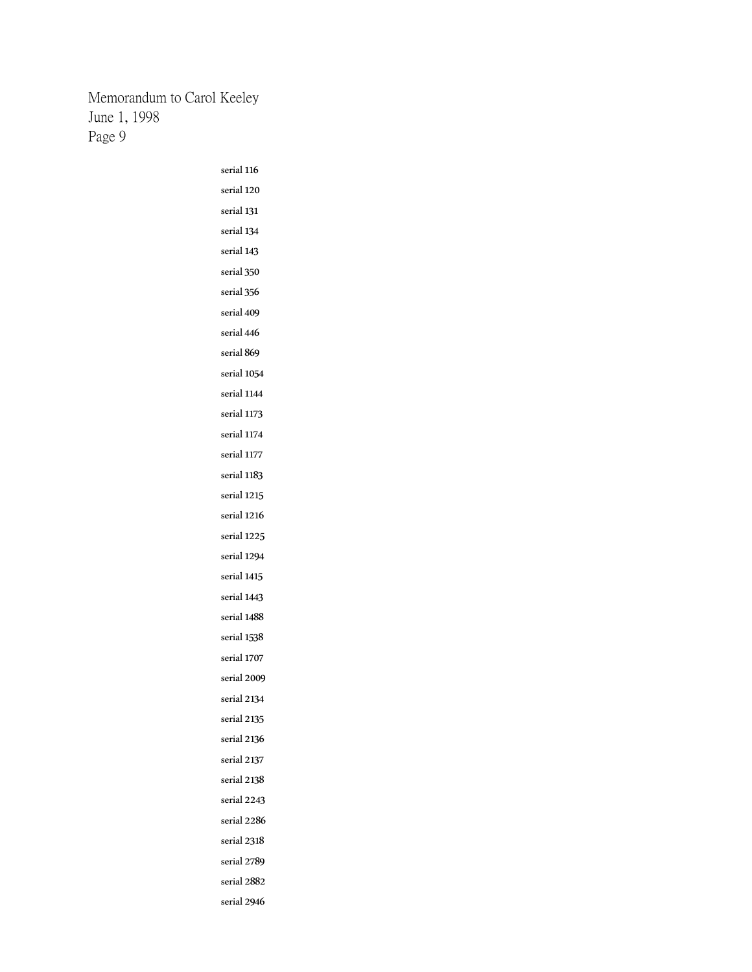> serial 116 serial 120 serial 131 serial 134 serial 143 serial 350 serial 356 serial 409 serial 446 serial 869 serial 1054 serial 1144 serial 1173 serial 1174 serial 1177 serial 1183 serial 1215 serial 1216 serial 1225 serial 1294 serial 1415 serial 1443 serial 1488 serial 1538 serial 1707 serial 2009 serial 2134 serial 2135 serial 2136 serial 2137 serial 2138 serial 2243 serial 2286 serial 2318 serial 2789 serial 2882 serial 2946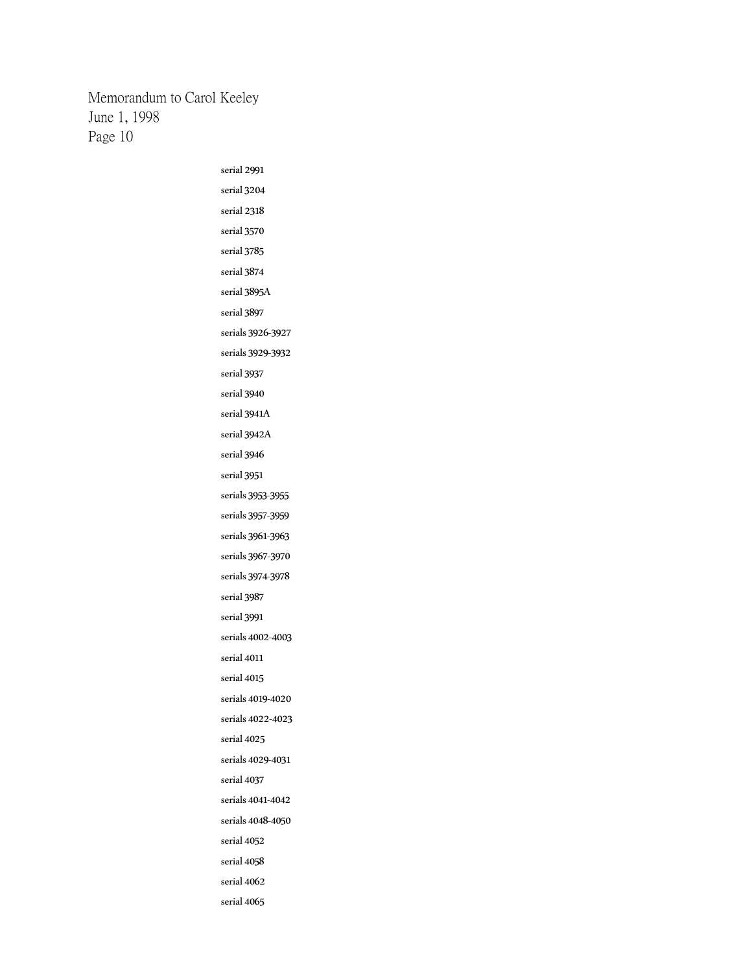> serial 2991 serial 3204 serial 2318 serial 3570 serial 3785 serial 3874 serial 3895A serial 3897 serials 3926-3927 serials 3929-3932 serial 3937 serial 3940 serial 3941A serial 3942A serial 3946 serial 3951 serials 3953-3955 serials 3957-3959 serials 3961-3963 serials 3967-3970 serials 3974-3978 serial 3987 serial 3991 serials 4002-4003 serial 4011 serial 4015 serials 4019-4020 serials 4022-4023 serial 4025 serials 4029-4031 serial 4037 serials 4041-4042 serials 4048-4050 serial 4052 serial 4058 serial 4062 serial 4065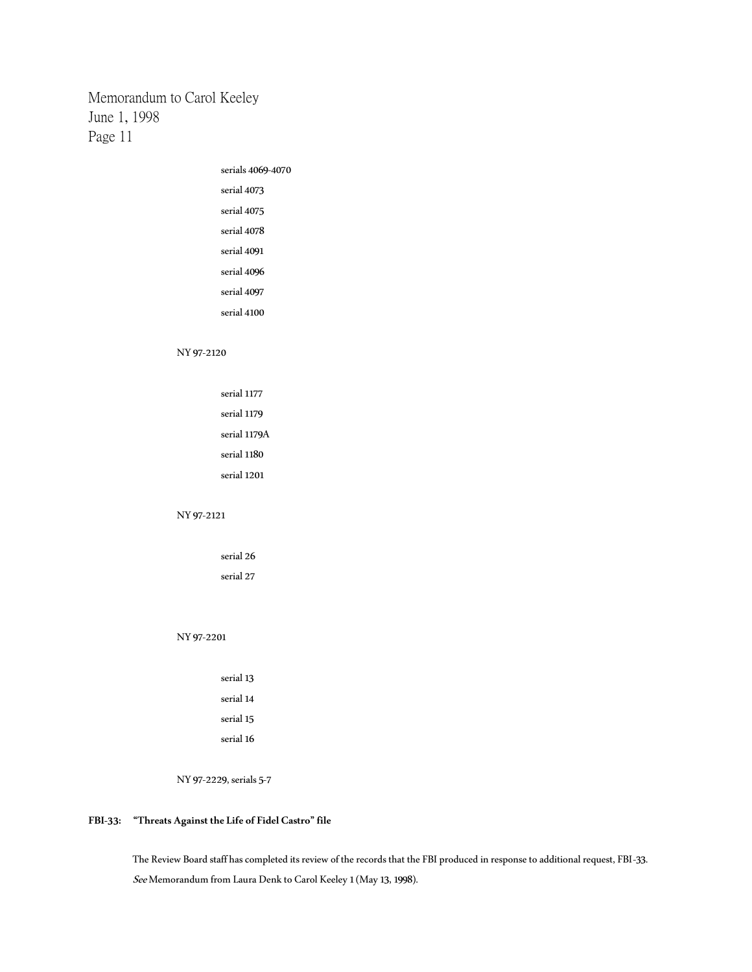> serials 4069-4070 serial 4073 serial 4075 serial 4078 serial 4091 serial 4096 serial 4097 serial 4100

### NY 97-2120

| serial 1177  |
|--------------|
| serial 1179  |
| serial 1179A |
| serial 1180  |
| serial 1201  |
|              |

### NY 97-2121

serial 26 serial 27

### NY 97-2201

| serial 13 |
|-----------|
| serial 14 |
| serial 15 |
| serial 16 |

NY 97-2229, serials 5-7

## **FBI-33: "Threats Against the Life of Fidel Castro" file**

The Review Board staff has completed its review of the records that the FBI produced in response to additional request, FBI-33. See Memorandum from Laura Denk to Carol Keeley 1 (May 13, 1998).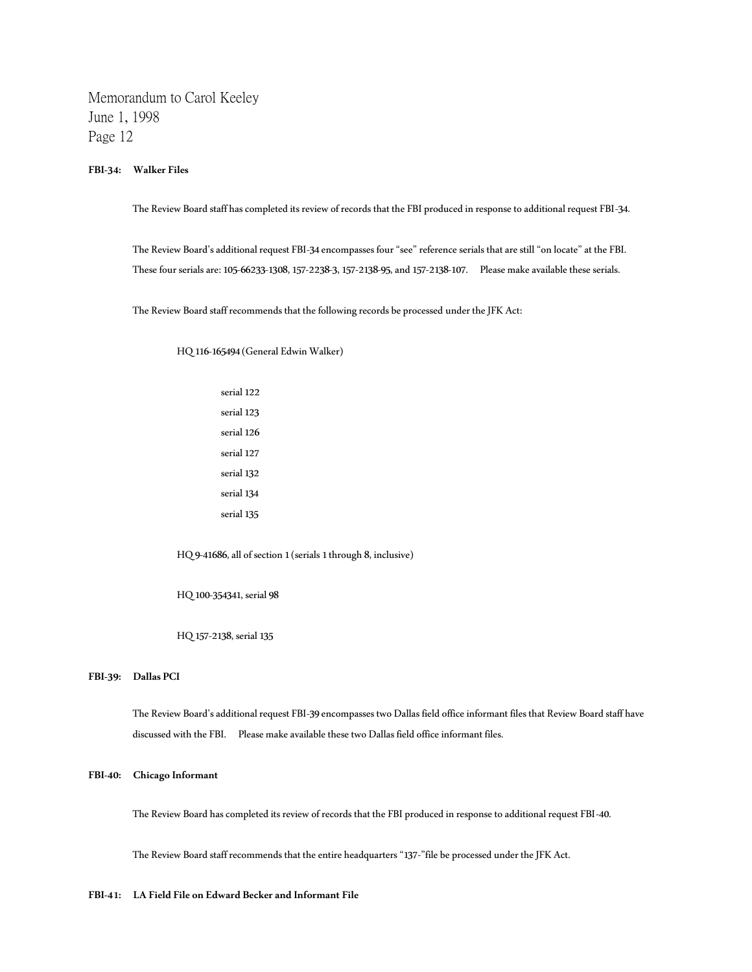**FBI-34: Walker Files**

The Review Board staff has completed its review of records that the FBI produced in response to additional request FBI-34.

The Review Board's additional request FBI-34 encompasses four "see" reference serials that are still "on locate" at the FBI. These four serials are: 105-66233-1308, 157-2238-3, 157-2138-95, and 157-2138-107. Please make available these serials.

The Review Board staff recommends that the following records be processed under the JFK Act:

HQ 116-165494 (General Edwin Walker)

serial 122 serial 123 serial 126 serial 127 serial 132 serial 134 serial 135

HQ 9-41686, all of section 1 (serials 1 through 8, inclusive)

HQ 100-354341, serial 98

HQ 157-2138, serial 135

### **FBI-39: Dallas PCI**

The Review Board's additional request FBI-39 encompasses two Dallas field office informant files that Review Board staff have discussed with the FBI. Please make available these two Dallas field office informant files.

### **FBI-40: Chicago Informant**

The Review Board has completed its review of records that the FBI produced in response to additional request FBI-40.

The Review Board staff recommends that the entire headquarters "137-"file be processed under the JFK Act.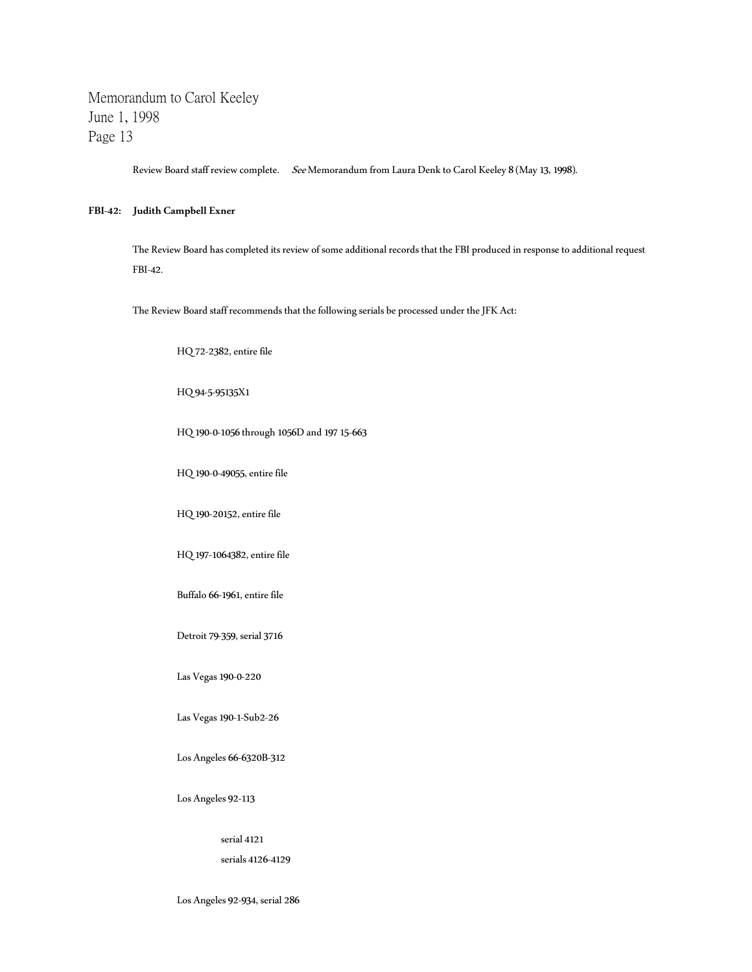Review Board staff review complete. See Memorandum from Laura Denk to Carol Keeley 8 (May 13, 1998).

### **FBI-42: Judith Campbell Exner**

The Review Board has completed its review of some additional records that the FBI produced in response to additional request FBI-42.

The Review Board staff recommends that the following serials be processed under the JFK Act:

HQ 72-2382, entire file

### HQ 94-5-95135X1

HQ 190-0-1056 through 1056D and 197 15-663

HQ 190-0-49055, entire file

HQ 190-20152, entire file

HQ 197-1064382, entire file

Buffalo 66-1961, entire file

Detroit 79-359, serial 3716

Las Vegas 190-0-220

Las Vegas 190-1-Sub2-26

Los Angeles 66-6320B-312

Los Angeles 92-113

serial 4121

serials 4126-4129

Los Angeles 92-934, serial 286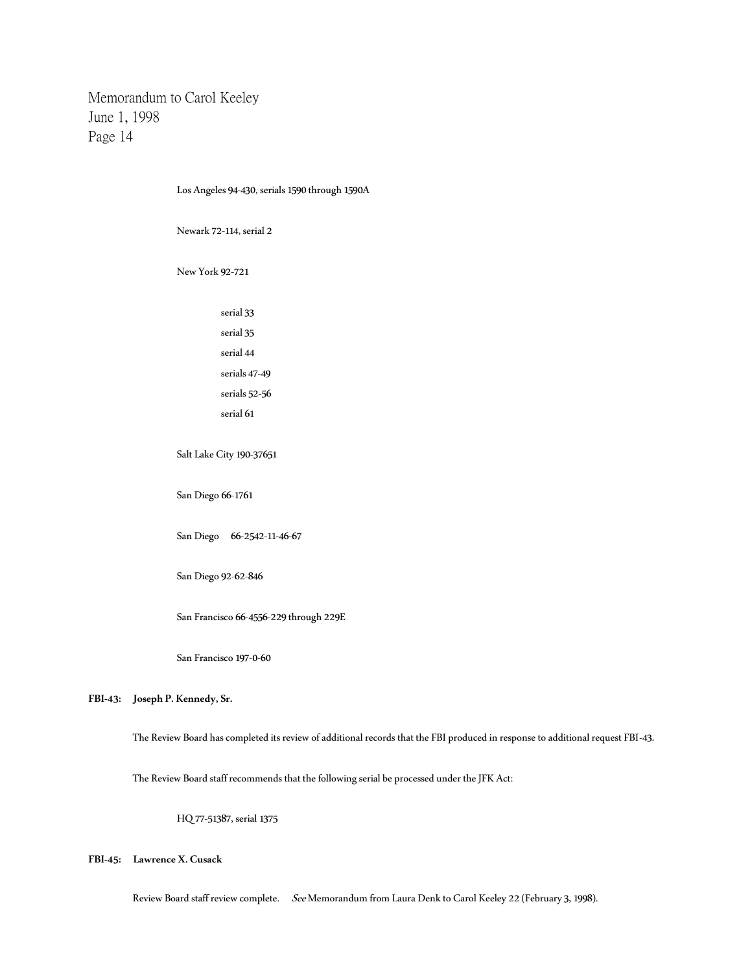| Los Angeles 94-430, serials 1590 through 1590A |  |  |  |
|------------------------------------------------|--|--|--|
| Newark 72-114, serial 2                        |  |  |  |
| New York 92-721                                |  |  |  |
| serial 33                                      |  |  |  |
| serial 35                                      |  |  |  |
| serial 44                                      |  |  |  |
| serials 47-49                                  |  |  |  |
| serials 52-56                                  |  |  |  |
| serial 61                                      |  |  |  |
| Salt Lake City 190-37651                       |  |  |  |
| San Diego 66-1761                              |  |  |  |
| San Diego 66-2542-11-46-67                     |  |  |  |
| San Diego 92-62-846                            |  |  |  |
| San Francisco 66-4556-229 through 229E         |  |  |  |

San Francisco 197-0-60

## **FBI-43: Joseph P. Kennedy, Sr.**

The Review Board has completed its review of additional records that the FBI produced in response to additional request FBI-43.

The Review Board staff recommends that the following serial be processed under the JFK Act:

HQ 77-51387, serial 1375

**FBI-45: Lawrence X. Cusack**

Review Board staff review complete. See Memorandum from Laura Denk to Carol Keeley 22 (February 3, 1998).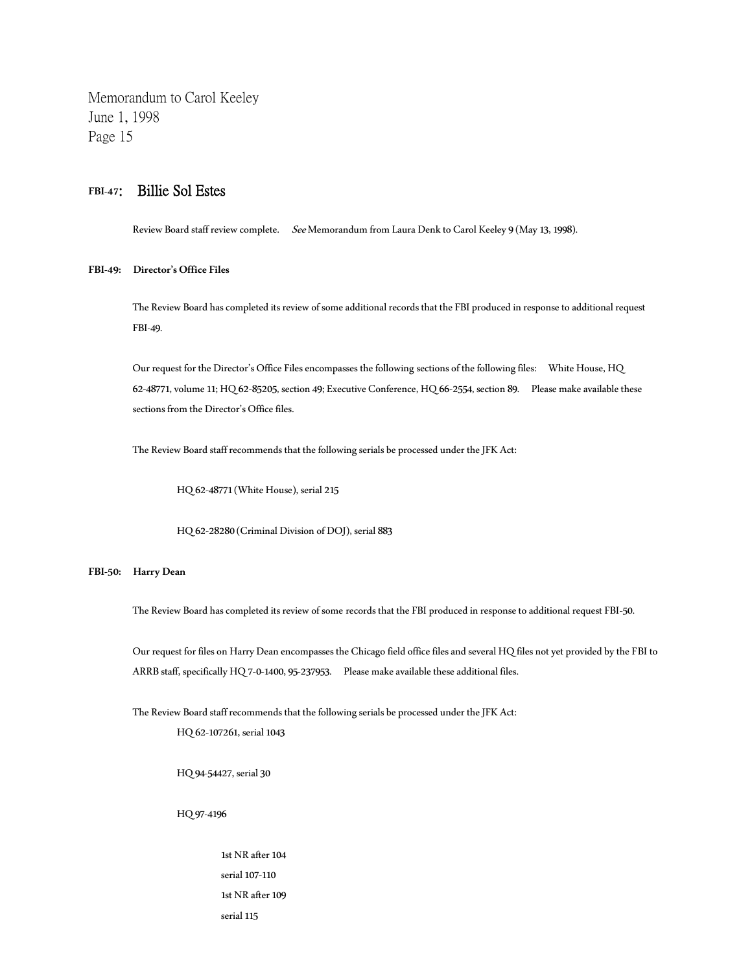# **FBI-47**: Billie Sol Estes

Review Board staff review complete. See Memorandum from Laura Denk to Carol Keeley 9 (May 13, 1998).

## **FBI-49: Director's Office Files**

The Review Board has completed its review of some additional records that the FBI produced in response to additional request FBI-49.

Our request for the Director's Office Files encompasses the following sections of the following files: White House, HQ 62-48771, volume 11; HQ 62-85205, section 49; Executive Conference, HQ 66-2554, section 89. Please make available these sections from the Director's Office files.

The Review Board staff recommends that the following serials be processed under the JFK Act:

HQ 62-48771 (White House), serial 215

HQ 62-28280 (Criminal Division of DOJ), serial 883

#### **FBI-50: Harry Dean**

The Review Board has completed its review of some records that the FBI produced in response to additional request FBI-50.

Our request for files on Harry Dean encompasses the Chicago field office files and several HQ files not yet provided by the FBI to ARRB staff, specifically HQ 7-0-1400, 95-237953. Please make available these additional files.

The Review Board staff recommends that the following serials be processed under the JFK Act:

HQ 62-107261, serial 1043

HQ 94-54427, serial 30

HQ 97-4196

1st NR after 104 serial 107-110 1st NR after 109 serial 115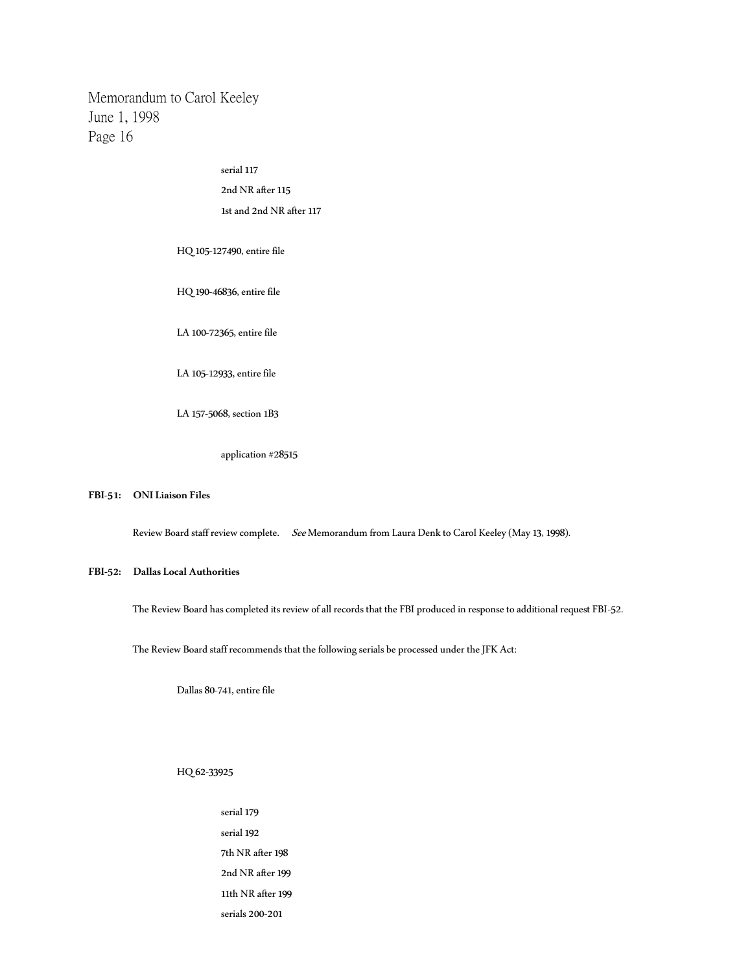> serial 117 2nd NR after 115 1st and 2nd NR after 117

HQ 105-127490, entire file

HQ 190-46836, entire file

LA 100-72365, entire file

LA 105-12933, entire file

LA 157-5068, section 1B3

application #28515

### **FBI-51: ONI Liaison Files**

Review Board staff review complete. See Memorandum from Laura Denk to Carol Keeley (May 13, 1998).

### **FBI-52: Dallas Local Authorities**

The Review Board has completed its review of all records that the FBI produced in response to additional request FBI-52.

The Review Board staff recommends that the following serials be processed under the JFK Act:

Dallas 80-741, entire file

HQ 62-33925

serial 179 serial 192 7th NR after 198 2nd NR after 199 11th NR after 199 serials 200-201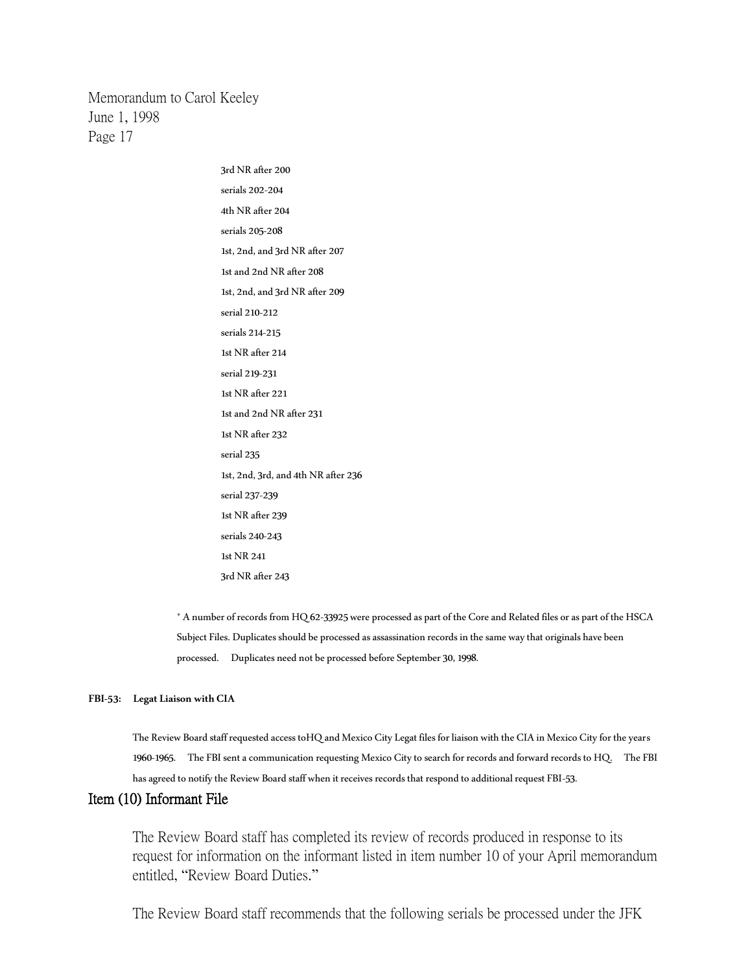> 3rd NR after 200 serials 202-204 4th NR after 204 serials 205-208 1st, 2nd, and 3rd NR after 207 1st and 2nd NR after 208 1st, 2nd, and 3rd NR after 209 serial 210-212 serials 214-215 1st NR after 214 serial 219-231 1st NR after 221 1st and 2nd NR after 231 1st NR after 232 serial 235 1st, 2nd, 3rd, and 4th NR after 236 serial 237-239 1st NR after 239 serials 240-243 1st NR 241 3rd NR after 243

\* A number of records from HQ 62-33925 were processed as part of the Core and Related files or as part of the HSCA Subject Files. Duplicates should be processed as assassination records in the same way that originals have been processed. Duplicates need not be processed before September 30, 1998.

### **FBI-53: Legat Liaison with CIA**

The Review Board staff requested access toHQ and Mexico City Legat files for liaison with the CIA in Mexico City for the years 1960-1965. The FBI sent a communication requesting Mexico City to search for records and forward records to HQ. The FBI has agreed to notify the Review Board staff when it receives records that respond to additional request FBI-53.

# Item (10) Informant File

The Review Board staff has completed its review of records produced in response to its request for information on the informant listed in item number 10 of your April memorandum entitled, "Review Board Duties."

The Review Board staff recommends that the following serials be processed under the JFK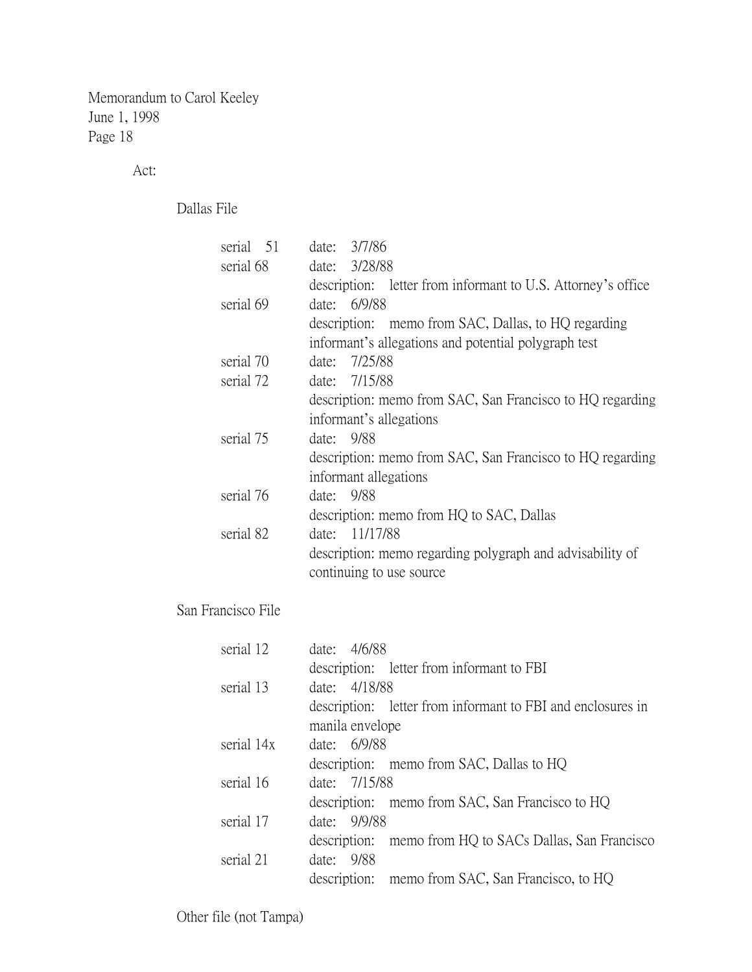Act:

Dallas File

San

| serial 51      | date: 3/7/86                                                 |
|----------------|--------------------------------------------------------------|
| serial 68      | date: 3/28/88                                                |
|                | description: letter from informant to U.S. Attorney's office |
| serial 69      | date: 6/9/88                                                 |
|                | description: memo from SAC, Dallas, to HQ regarding          |
|                | informant's allegations and potential polygraph test         |
| serial 70      | date: 7/25/88                                                |
| serial 72      | date: 7/15/88                                                |
|                | description: memo from SAC, San Francisco to HQ regarding    |
|                | informant's allegations                                      |
| serial 75      | date: 9/88                                                   |
|                | description: memo from SAC, San Francisco to HQ regarding    |
|                | informant allegations                                        |
| serial 76      | date: 9/88                                                   |
|                | description: memo from HQ to SAC, Dallas                     |
| serial 82      | date: 11/17/88                                               |
|                | description: memo regarding polygraph and advisability of    |
|                | continuing to use source.                                    |
|                |                                                              |
| Francisco File |                                                              |
| serial 12      | date: 4/6/88                                                 |
|                | description: letter from informant to FBI                    |
| serial 13      | date: 4/18/88                                                |
|                | description: letter from informant to FBI and enclosures in  |
|                | manila envelope                                              |
| serial 14x     | date: 6/9/88                                                 |
|                | description: memo from SAC, Dallas to HQ                     |
| serial 16      | date: 7/15/88                                                |
|                | description:<br>memo from SAC, San Francisco to HQ           |
| serial 17      | 9/9/88<br>date:                                              |
|                | description:<br>memo from HQ to SACs Dallas, San Francisco   |
| serial 21      | date: 9/88                                                   |
|                | description:<br>memo from SAC, San Francisco, to HQ          |
|                |                                                              |